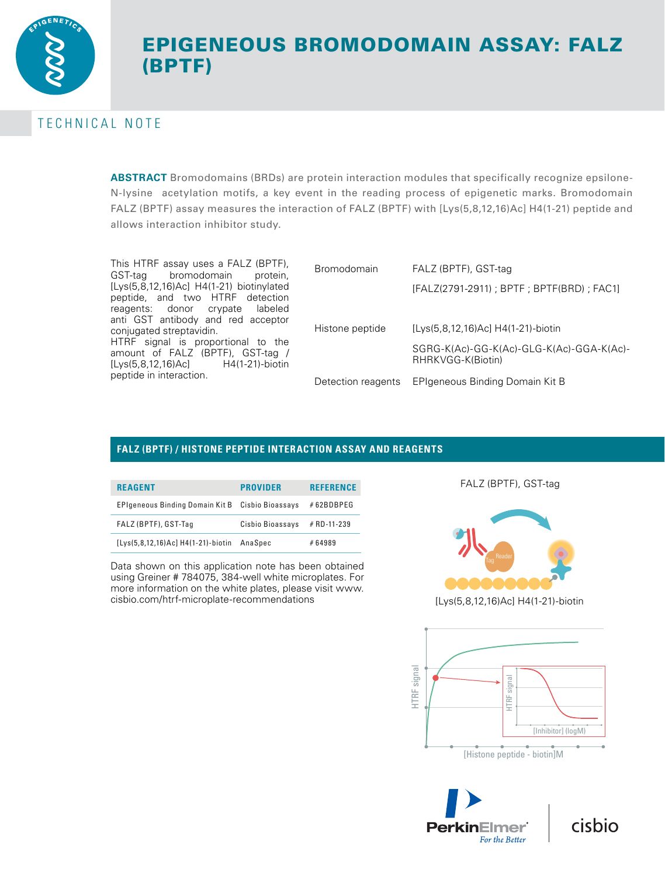

# EPIGENEOUS BROMODOMAIN ASSAY: FALZ (BPTF)

# TECHNICAL NOTE

**ABSTRACT** Bromodomains (BRDs) are protein interaction modules that specifically recognize epsilone-N-lysine acetylation motifs, a key event in the reading process of epigenetic marks. Bromodomain FALZ (BPTF) assay measures the interaction of FALZ (BPTF) with [Lys(5,8,12,16)Ac] H4(1-21) peptide and allows interaction inhibitor study.

This HTRF assay uses a FALZ (BPTF),<br>GST-tag bromodomain protein, bromodomain [Lys(5,8,12,16)Ac] H4(1-21) biotinylated peptide, and two HTRF detection reagents: donor crypate labeled anti GST antibody and red acceptor conjugated streptavidin. HTRF signal is proportional to the amount of FALZ (BPTF), GST-tag / [Lys(5,8,12,16)Ac] H4(1-21)-biotin peptide in interaction.

| <b>Bromodomain</b> | FALZ (BPTF), GST-tag                                          |  |  |  |
|--------------------|---------------------------------------------------------------|--|--|--|
|                    | [FALZ(2791-2911); BPTF; BPTF(BRD); FAC1]                      |  |  |  |
| Histone peptide    | [Lys(5,8,12,16)Ac] H4(1-21)-biotin                            |  |  |  |
|                    | SGRG-K(Ac)-GG-K(Ac)-GLG-K(Ac)-GGA-K(Ac)-<br>RHRKVGG-K(Biotin) |  |  |  |
| Detection reagents | EPIgeneous Binding Domain Kit B                               |  |  |  |

## **FALZ (BPTF) / HISTONE PEPTIDE INTERACTION ASSAY AND REAGENTS**

| <b>REAGENT</b>                     | <b>PROVIDER</b>  | <b>REFERENCE</b> |
|------------------------------------|------------------|------------------|
| EPIgeneous Binding Domain Kit B    | Cisbio Bioassays | #62BDBPEG        |
| FALZ (BPTF), GST-Tag               | Cisbio Bioassays | # RD-11-239      |
| [Lys(5,8,12,16)Ac] H4(1-21)-biotin | AnaSpec          | #64989           |

Data shown on this application note has been obtained using Greiner # 784075, 384-well white microplates. For more information on the white plates, please visit www. cisbio.com/htrf-microplate-recommendations

#### FALZ (BPTF), GST-tag



[Lys(5,8,12,16)Ac] H4(1-21)-biotin



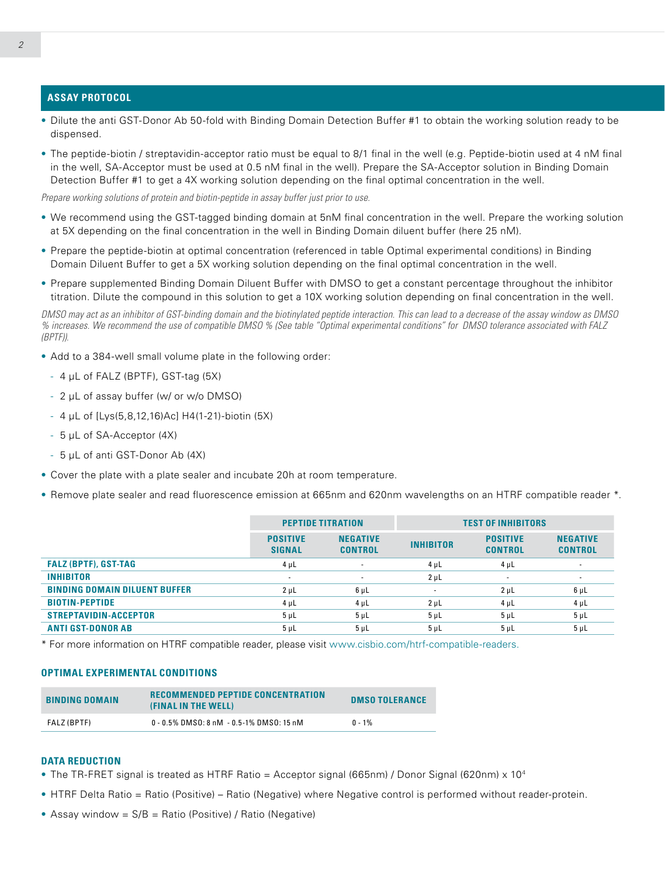### **ASSAY PROTOCOL**

- Dilute the anti GST-Donor Ab 50-fold with Binding Domain Detection Buffer #1 to obtain the working solution ready to be dispensed.
- The peptide-biotin / streptavidin-acceptor ratio must be equal to 8/1 final in the well (e.g. Peptide-biotin used at 4 nM final in the well, SA-Acceptor must be used at 0.5 nM final in the well). Prepare the SA-Acceptor solution in Binding Domain Detection Buffer #1 to get a 4X working solution depending on the final optimal concentration in the well.

*Prepare working solutions of protein and biotin-peptide in assay buffer just prior to use.*

- We recommend using the GST-tagged binding domain at 5nM final concentration in the well. Prepare the working solution at 5X depending on the final concentration in the well in Binding Domain diluent buffer (here 25 nM).
- Prepare the peptide-biotin at optimal concentration (referenced in table Optimal experimental conditions) in Binding Domain Diluent Buffer to get a 5X working solution depending on the final optimal concentration in the well.
- Prepare supplemented Binding Domain Diluent Buffer with DMSO to get a constant percentage throughout the inhibitor titration. Dilute the compound in this solution to get a 10X working solution depending on final concentration in the well.

*DMSO may act as an inhibitor of GST-binding domain and the biotinylated peptide interaction. This can lead to a decrease of the assay window as DMSO % increases. We recommend the use of compatible DMSO % (See table "Optimal experimental conditions" for DMSO tolerance associated with FALZ (BPTF)).*

- Add to a 384-well small volume plate in the following order:
	- 4 μL of FALZ (BPTF), GST-tag (5X)
	- 2 μL of assay buffer (w/ or w/o DMSO)
	- 4 μL of [Lys(5,8,12,16)Ac] H4(1-21)-biotin (5X)
	- 5 μL of SA-Acceptor (4X)
	- 5 μL of anti GST-Donor Ab (4X)
- Cover the plate with a plate sealer and incubate 20h at room temperature.
- Remove plate sealer and read fluorescence emission at 665nm and 620nm wavelengths on an HTRF compatible reader \*.

|                                      | <b>PEPTIDE TITRATION</b>         |                                   | <b>TEST OF INHIBITORS</b> |                                   |                                   |
|--------------------------------------|----------------------------------|-----------------------------------|---------------------------|-----------------------------------|-----------------------------------|
|                                      | <b>POSITIVE</b><br><b>SIGNAL</b> | <b>NEGATIVE</b><br><b>CONTROL</b> | <b>INHIBITOR</b>          | <b>POSITIVE</b><br><b>CONTROL</b> | <b>NEGATIVE</b><br><b>CONTROL</b> |
| <b>FALZ (BPTF), GST-TAG</b>          | $4 \mu L$                        | $\overline{\phantom{a}}$          | $4 \mu L$                 | $4 \mu L$                         | ۰                                 |
| <b>INHIBITOR</b>                     | $\sim$                           | ۰.                                | $2 \mu L$                 | ۰                                 | $\sim$                            |
| <b>BINDING DOMAIN DILUENT BUFFER</b> | $2 \mu L$                        | $6 \mu L$                         | $\sim$                    | $2 \mu L$                         | $6 \mu L$                         |
| <b>BIOTIN-PEPTIDE</b>                | $4 \mu L$                        | $4 \mu L$                         | $2 \mu L$                 | $4 \mu L$                         | $4 \mu L$                         |
| <b>STREPTAVIDIN-ACCEPTOR</b>         | $5 \mu L$                        | $5 \mu L$                         | $5 \mu L$                 | 5 <sub>µ</sub>                    | $5 \mu L$                         |
| <b>ANTI GST-DONOR AB</b>             | $5 \mu L$                        | $5 \mu L$                         | $5 \mu L$                 | 5 <sub>µ</sub>                    | 5 <sub>µ</sub>                    |

\* For more information on HTRF compatible reader, please visit www.cisbio.com/htrf-compatible-readers.

#### **OPTIMAL EXPERIMENTAL CONDITIONS**

| <b>BINDING DOMAIN</b> | <b>RECOMMENDED PEPTIDE CONCENTRATION</b><br>(FINAL IN THE WELL) | <b>DMSO TOLERANCE</b> |
|-----------------------|-----------------------------------------------------------------|-----------------------|
| FALZ (BPTF)           | 0 - 0.5% DMSO: 8 nM - 0.5-1% DMSO: 15 nM                        | $0 - 1\%$             |

#### **DATA REDUCTION**

- The TR-FRET signal is treated as HTRF Ratio = Acceptor signal (665nm) / Donor Signal (620nm) x 10<sup>4</sup>
- HTRF Delta Ratio = Ratio (Positive) Ratio (Negative) where Negative control is performed without reader-protein.
- Assay window =  $S/B$  = Ratio (Positive) / Ratio (Negative)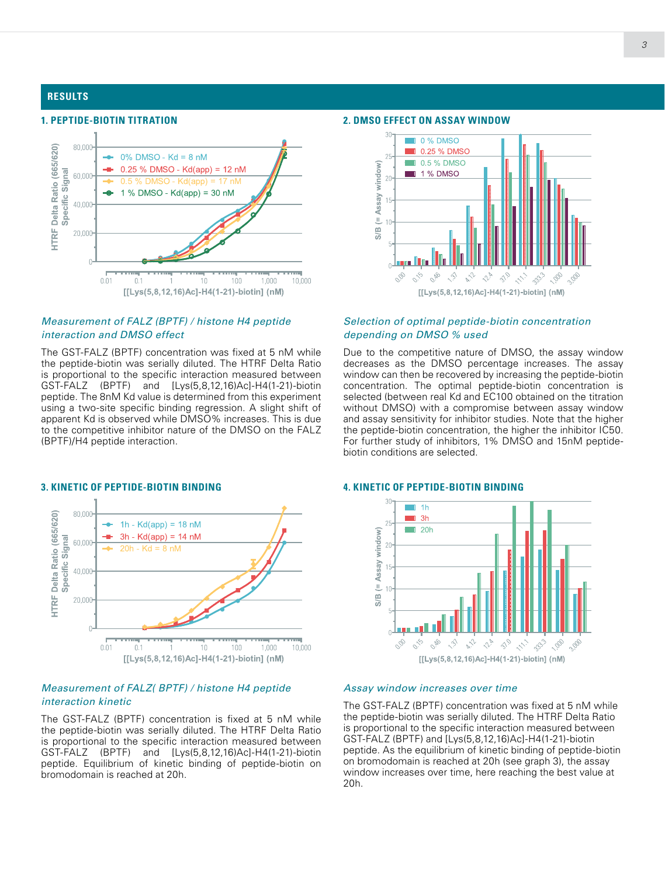#### **RESULTS**

### **1. PEPTIDE-BIOTIN TITRATION**



#### *Measurement of FALZ (BPTF) / histone H4 peptide interaction and DMSO effect*

The GST-FALZ (BPTF) concentration was fixed at 5 nM while the peptide-biotin was serially diluted. The HTRF Delta Ratio is proportional to the specific interaction measured between GST-FALZ (BPTF) and [Lys(5,8,12,16)Ac]-H4(1-21)-biotin peptide. The 8nM Kd value is determined from this experiment using a two-site specific binding regression. A slight shift of apparent Kd is observed while DMSO% increases. This is due to the competitive inhibitor nature of the DMSO on the FALZ (BPTF)/H4 peptide interaction.



#### *Measurement of FALZ( BPTF) / histone H4 peptide interaction kinetic*

The GST-FALZ (BPTF) concentration is fixed at 5 nM while the peptide-biotin was serially diluted. The HTRF Delta Ratio is proportional to the specific interaction measured between GST-FALZ (BPTF) and [Lys(5,8,12,16)Ac]-H4(1-21)-biotin peptide. Equilibrium of kinetic binding of peptide-biotin on bromodomain is reached at 20h.

#### **2. DMSO EFFECT ON ASSAY WINDOW**



#### *Selection of optimal peptide-biotin concentration depending on DMSO % used*

Due to the competitive nature of DMSO, the assay window decreases as the DMSO percentage increases. The assay window can then be recovered by increasing the peptide-biotin concentration. The optimal peptide-biotin concentration is selected (between real Kd and EC100 obtained on the titration without DMSO) with a compromise between assay window and assay sensitivity for inhibitor studies. Note that the higher the peptide-biotin concentration, the higher the inhibitor IC50. For further study of inhibitors, 1% DMSO and 15nM peptidebiotin conditions are selected.

#### **4. KINETIC OF PEPTIDE-BIOTIN BINDING**



#### *Assay window increases over time*

The GST-FALZ (BPTF) concentration was fixed at 5 nM while the peptide-biotin was serially diluted. The HTRF Delta Ratio is proportional to the specific interaction measured between GST-FALZ (BPTF) and [Lys(5,8,12,16)Ac]-H4(1-21)-biotin peptide. As the equilibrium of kinetic binding of peptide-biotin on bromodomain is reached at 20h (see graph 3), the assay window increases over time, here reaching the best value at 20h.